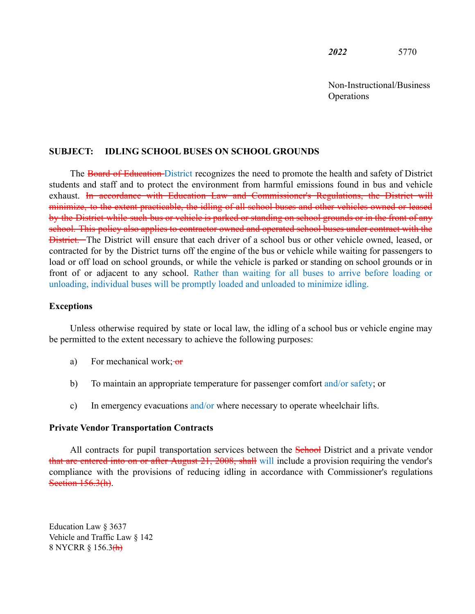*2022* 5770

Non-Instructional/Business **Operations** 

## **SUBJECT: IDLING SCHOOL BUSES ON SCHOOL GROUNDS**

The Board of Education District recognizes the need to promote the health and safety of District students and staff and to protect the environment from harmful emissions found in bus and vehicle exhaust. In accordance with Education Law and Commissioner's Regulations, the District will minimize, to the extent practicable, the idling of all school buses and other vehicles owned or leased by the District while such bus or vehicle is parked or standing on school grounds or in the front of any school. This policy also applies to contractor owned and operated school buses under contract with the **District.** The District will ensure that each driver of a school bus or other vehicle owned, leased, or contracted for by the District turns off the engine of the bus or vehicle while waiting for passengers to load or off load on school grounds, or while the vehicle is parked or standing on school grounds or in front of or adjacent to any school. Rather than waiting for all buses to arrive before loading or unloading, individual buses will be promptly loaded and unloaded to minimize idling.

## **Exceptions**

Unless otherwise required by state or local law, the idling of a school bus or vehicle engine may be permitted to the extent necessary to achieve the following purposes:

- a) For mechanical work;  $\sigma$
- b) To maintain an appropriate temperature for passenger comfort and/or safety; or
- c) In emergency evacuations and/or where necessary to operate wheelchair lifts.

## **Private Vendor Transportation Contracts**

All contracts for pupil transportation services between the School District and a private vendor that are entered into on or after August 21, 2008, shall will include a provision requiring the vendor's compliance with the provisions of reducing idling in accordance with Commissioner's regulations Section 156.3(h).

Education Law § 3637 Vehicle and Traffic Law § 142 8 NYCRR § 156.3<del>(h)</del>